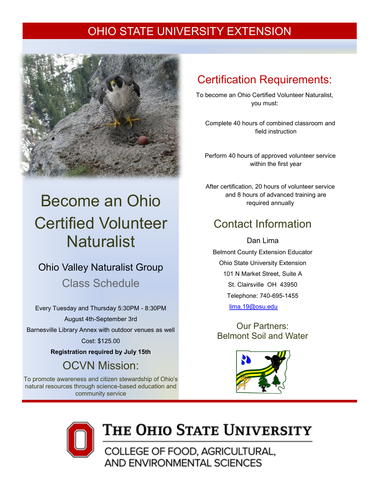### OHIO STATE UNIVERSITY EXTENSION



# Become an Ohio Certified Volunteer **Naturalist**

### Ohio Valley Naturalist Group

Class Schedule

Every Tuesday and Thursday 5:30PM - 8:30PM

August 4th-September 3rd Barnesville Library Annex with outdoor venues as well Cost: \$125.00

**Registration required by July 15th**

OCVN Mission:

To promote awareness and citizen stewardship of Ohio's natural resources through science-based education and community service

## Certification Requirements:

To become an Ohio Certified Volunteer Naturalist, you must:

Complete 40 hours of combined classroom and field instruction

Perform 40 hours of approved volunteer service within the first year

After certification, 20 hours of volunteer service and 8 hours of advanced training are required annually

## Contact Information

Dan Lima Belmont County Extension Educator Ohio State University Extension 101 N Market Street, Suite A St. Clairsville OH 43950 Telephone: 740-695-1455 [lima.19@osu.edu](mailto:Baird.41@osu.edu)

Our Partners: Belmont Soil and Water





# THE OHIO STATE UNIVERSITY

COLLEGE OF FOOD, AGRICULTURAL, AND ENVIRONMENTAL SCIENCES